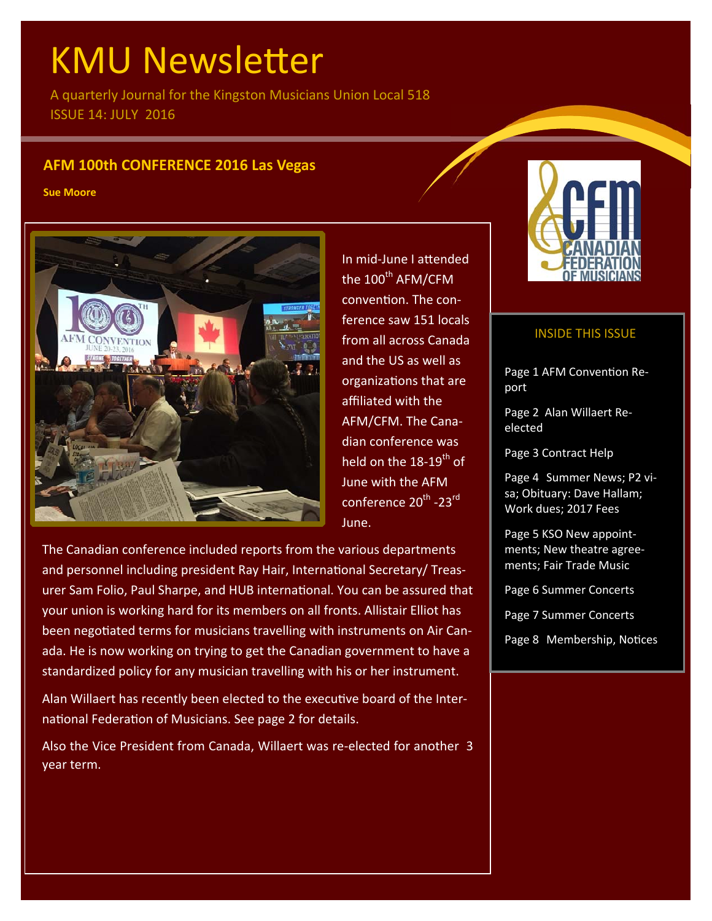# **KMU Newsletter**

A quarterly Journal for the Kingston Musicians Union Local 518 ISSUE 14: JULY 2016

# **AFM 100th CONFERENCE 2016 Las Vegas**

**Sue Moore** 



In mid‐June I aƩended the  $100^{\text{th}}$  AFM/CFM convention. The conference saw 151 locals from all across Canada and the US as well as organizaƟons that are affiliated with the AFM/CFM. The Cana‐ dian conference was held on the 18-19<sup>th</sup> of June with the AFM conference 20<sup>th</sup> -23<sup>rd</sup> June.

The Canadian conference included reports from the various departments and personnel including president Ray Hair, International Secretary/ Treasurer Sam Folio, Paul Sharpe, and HUB international. You can be assured that your union is working hard for its members on all fronts. Allistair Elliot has been negotiated terms for musicians travelling with instruments on Air Canada. He is now working on trying to get the Canadian government to have a standardized policy for any musician travelling with his or her instrument.

Alan Willaert has recently been elected to the executive board of the International Federation of Musicians. See page 2 for details.

Also the Vice President from Canada, Willaert was re‐elected for another 3 year term.



# INSIDE THIS ISSUE

Page 1 AFM Convention Report

Page 2 Alan Willaert Re‐ elected

Page 3 Contract Help

Page 4 Summer News; P2 vi‐ sa; Obituary: Dave Hallam; Work dues; 2017 Fees

Page 5 KSO New appoint‐ ments; New theatre agree‐ ments; Fair Trade Music

Page 6 Summer Concerts

Page 7 Summer Concerts

Page 8 Membership, Notices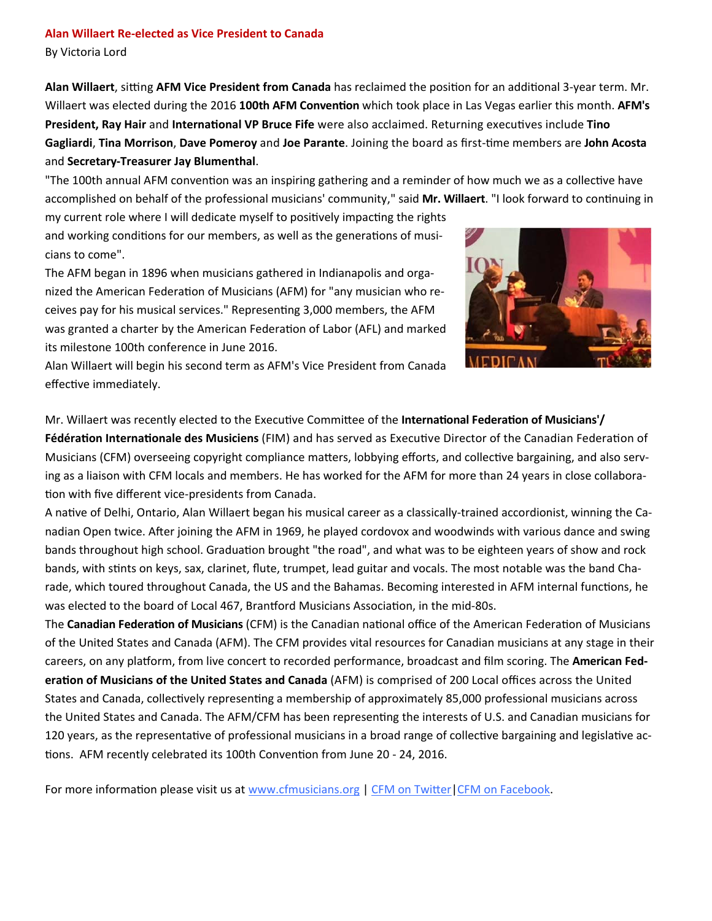# **Alan Willaert Re‐elected as Vice President to Canada**

By Victoria Lord

Alan Willaert, sitting AFM Vice President from Canada has reclaimed the position for an additional 3-year term. Mr. Willaert was elected during the 2016 100th AFM Convention which took place in Las Vegas earlier this month. AFM's **President, Ray Hair** and **InternaƟonal VP Bruce Fife** were also acclaimed. Returning execuƟves include **Tino Gagliardi**, **Tina Morrison**, **Dave Pomeroy** and **Joe Parante**. Joining the board as first‐Ɵme members are **John Acosta** and **Secretary‐Treasurer Jay Blumenthal**.

"The 100th annual AFM convention was an inspiring gathering and a reminder of how much we as a collective have accomplished on behalf of the professional musicians' community," said Mr. Willaert. "I look forward to continuing in

my current role where I will dedicate myself to positively impacting the rights and working conditions for our members, as well as the generations of musicians to come".

The AFM began in 1896 when musicians gathered in Indianapolis and orga‐ nized the American Federation of Musicians (AFM) for "any musician who receives pay for his musical services." Representing 3,000 members, the AFM was granted a charter by the American Federation of Labor (AFL) and marked its milestone 100th conference in June 2016.



Alan Willaert will begin his second term as AFM's Vice President from Canada effective immediately.

Mr. Willaert was recently elected to the Executive Committee of the **International Federation of Musicians'/** 

**Fédération Internationale des Musiciens** (FIM) and has served as Executive Director of the Canadian Federation of Musicians (CFM) overseeing copyright compliance matters, lobbying efforts, and collective bargaining, and also serving as a liaison with CFM locals and members. He has worked for the AFM for more than 24 years in close collabora‐ tion with five different vice-presidents from Canada.

A native of Delhi, Ontario, Alan Willaert began his musical career as a classically-trained accordionist, winning the Canadian Open twice. After joining the AFM in 1969, he played cordovox and woodwinds with various dance and swing bands throughout high school. Graduation brought "the road", and what was to be eighteen years of show and rock bands, with stints on keys, sax, clarinet, flute, trumpet, lead guitar and vocals. The most notable was the band Charade, which toured throughout Canada, the US and the Bahamas. Becoming interested in AFM internal functions, he was elected to the board of Local 467, Brantford Musicians Association, in the mid-80s.

The **Canadian Federation of Musicians** (CFM) is the Canadian national office of the American Federation of Musicians of the United States and Canada (AFM). The CFM provides vital resources for Canadian musicians at any stage in their careers, on any plaƞorm, from live concert to recorded performance, broadcast and film scoring. The **American Fed‐ eraƟon of Musicians of the United States and Canada** (AFM) is comprised of 200 Local offices across the United States and Canada, collectively representing a membership of approximately 85,000 professional musicians across the United States and Canada. The AFM/CFM has been representing the interests of U.S. and Canadian musicians for 120 years, as the representative of professional musicians in a broad range of collective bargaining and legislative actions. AFM recently celebrated its 100th Convention from June 20 - 24, 2016.

For more information please visit us at www.cfmusicians.org | CFM on Twitter | CFM on Facebook.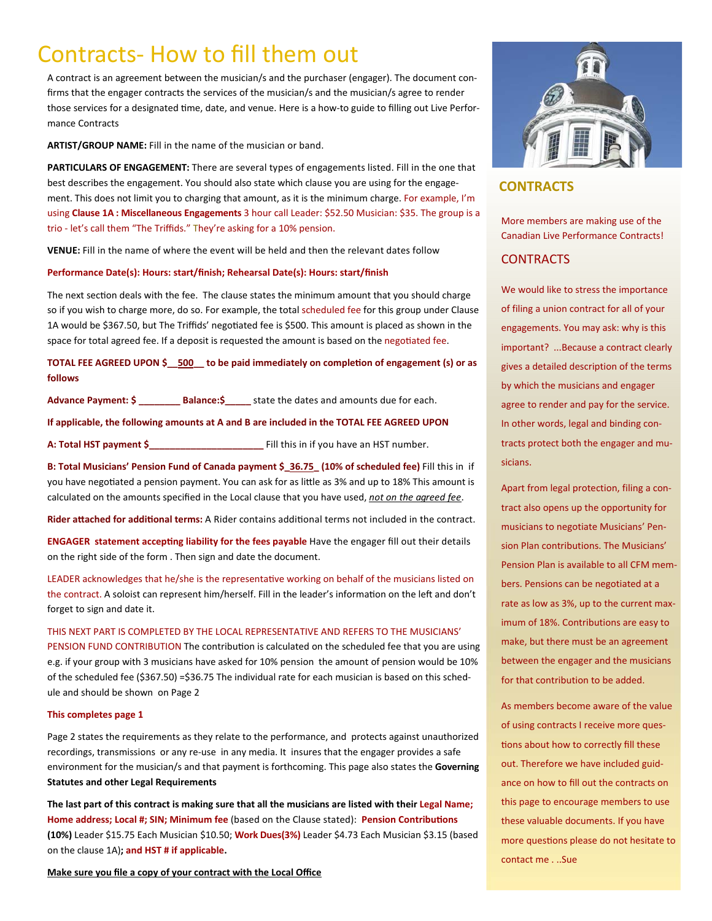# Contracts‐ How to fill them out

A contract is an agreement between the musician/s and the purchaser (engager). The document con‐ firms that the engager contracts the services of the musician/s and the musician/s agree to render those services for a designated time, date, and venue. Here is a how-to guide to filling out Live Performance Contracts

**ARTIST/GROUP NAME:** Fill in the name of the musician or band.

**PARTICULARS OF ENGAGEMENT:** There are several types of engagements listed. Fill in the one that best describes the engagement. You should also state which clause you are using for the engagement. This does not limit you to charging that amount, as it is the minimum charge. For example, I'm using **Clause 1A : Miscellaneous Engagements** 3 hour call Leader: \$52.50 Musician: \$35. The group is a trio ‐ let's call them "The Triffids." They're asking for a 10% pension.

**VENUE:** Fill in the name of where the event will be held and then the relevant dates follow

### **Performance Date(s): Hours: start/finish; Rehearsal Date(s): Hours: start/finish**

The next section deals with the fee. The clause states the minimum amount that you should charge so if you wish to charge more, do so. For example, the total scheduled fee for this group under Clause 1A would be \$367.50, but The Triffids' negotiated fee is \$500. This amount is placed as shown in the space for total agreed fee. If a deposit is requested the amount is based on the negotiated fee.

TOTAL FEE AGREED UPON \$**\_\_500\_\_** to be paid immediately on completion of engagement (s) or as **follows** 

Advance Payment:  $\frac{2}{5}$  \_\_\_\_\_\_\_\_\_\_ Balance:  $\frac{2}{5}$  \_\_\_\_\_ state the dates and amounts due for each.

**If applicable, the following amounts at A and B are included in the TOTAL FEE AGREED UPON** 

**A: Total HST payment \$\_\_\_\_\_\_\_\_\_\_\_\_\_\_\_\_\_\_\_\_\_\_** Fill this in if you have an HST number.

**B: Total Musicians' Pension Fund of Canada payment \$\_36.75\_ (10% of scheduled fee)** Fill this in if you have negotiated a pension payment. You can ask for as little as 3% and up to 18% This amount is calculated on the amounts specified in the Local clause that you have used, *not on the agreed fee*.

**Rider attached for additional terms:** A Rider contains additional terms not included in the contract.

**ENGAGER statement accepting liability for the fees payable** Have the engager fill out their details on the right side of the form . Then sign and date the document.

LEADER acknowledges that he/she is the representative working on behalf of the musicians listed on the contract. A soloist can represent him/herself. Fill in the leader's information on the left and don't forget to sign and date it.

# THIS NEXT PART IS COMPLETED BY THE LOCAL REPRESENTATIVE AND REFERS TO THE MUSICIANS'

PENSION FUND CONTRIBUTION The contribution is calculated on the scheduled fee that you are using e.g. if your group with 3 musicians have asked for 10% pension the amount of pension would be 10% of the scheduled fee (\$367.50) =\$36.75 The individual rate for each musician is based on this schedule and should be shown on Page 2

#### **This completes page 1**

Page 2 states the requirements as they relate to the performance, and protects against unauthorized recordings, transmissions or any re-use in any media. It insures that the engager provides a safe environment for the musician/s and that payment is forthcoming. This page also states the **Governing Statutes and other Legal Requirements** 

**The last part of this contract is making sure that all the musicians are listed with their Legal Name;**  Home address; Local #; SIN; Minimum fee (based on the Clause stated): Pension Contributions **(10%)** Leader \$15.75 Each Musician \$10.50; **Work Dues(3%)** Leader \$4.73 Each Musician \$3.15 (based on the clause 1A)**; and HST # if applicable.** 

**Make sure you file a copy of your contract with the Local Office** 



# **CONTRACTS**

More members are making use of the Canadian Live Performance Contracts!

# CONTRACTS

We would like to stress the importance of filing a union contract for all of your engagements. You may ask: why is this important? ...Because a contract clearly gives a detailed description of the terms by which the musicians and engager agree to render and pay for the service. In other words, legal and binding con‐ tracts protect both the engager and mu‐ sicians.

Apart from legal protection, filing a con‐ tract also opens up the opportunity for musicians to negotiate Musicians' Pen‐ sion Plan contributions. The Musicians' Pension Plan is available to all CFM mem‐ bers. Pensions can be negotiated at a rate as low as 3%, up to the current max‐ imum of 18%. Contributions are easy to make, but there must be an agreement between the engager and the musicians for that contribution to be added.

As members become aware of the value of using contracts I receive more ques‐ tions about how to correctly fill these out. Therefore we have included guid‐ ance on how to fill out the contracts on this page to encourage members to use these valuable documents. If you have more questions please do not hesitate to contact me . ..Sue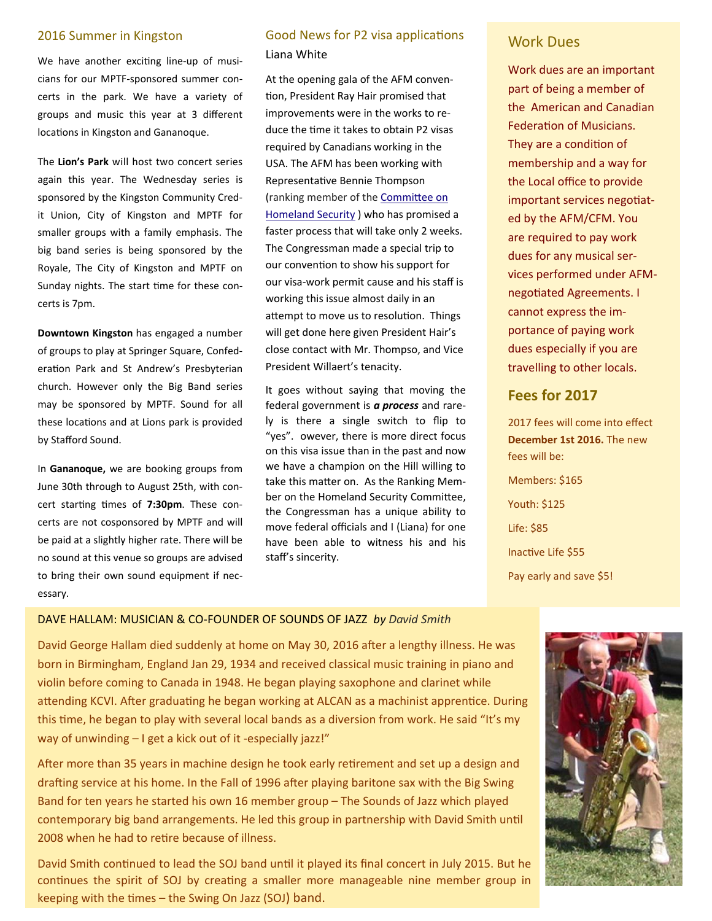We have another exciting line-up of musicians for our MPTF‐sponsored summer con‐ certs in the park. We have a variety of groups and music this year at 3 different locations in Kingston and Gananoque.

The **Lion's Park** will host two concert series again this year. The Wednesday series is sponsored by the Kingston Community Cred‐ it Union, City of Kingston and MPTF for smaller groups with a family emphasis. The big band series is being sponsored by the Royale, The City of Kingston and MPTF on Sunday nights. The start time for these concerts is 7pm.

**Downtown Kingston** has engaged a number of groups to play at Springer Square, Confed‐ eration Park and St Andrew's Presbyterian church. However only the Big Band series may be sponsored by MPTF. Sound for all these locations and at Lions park is provided by Stafford Sound.

In **Gananoque,** we are booking groups from June 30th through to August 25th, with con‐ cert starting times of 7:30pm. These concerts are not cosponsored by MPTF and will be paid at a slightly higher rate. There will be no sound at this venue so groups are advised to bring their own sound equipment if necessary.

# **2016 Summer in Kingston Cood News for P2 visa applications** Work Dues Liana White

At the opening gala of the AFM conven‐ tion, President Ray Hair promised that improvements were in the works to re‐ duce the time it takes to obtain P2 visas required by Canadians working in the USA. The AFM has been working with RepresentaƟve Bennie Thompson (ranking member of the Committee on Homeland Security ) who has promised a faster process that will take only 2 weeks. The Congressman made a special trip to our convention to show his support for our visa‐work permit cause and his staff is working this issue almost daily in an attempt to move us to resolution. Things will get done here given President Hair's close contact with Mr. Thompso, and Vice President Willaert's tenacity.

It goes without saying that moving the federal government is *a process* and rare‐ ly is there a single switch to flip to "yes". owever, there is more direct focus on this visa issue than in the past and now we have a champion on the Hill willing to take this matter on. As the Ranking Member on the Homeland Security Committee, the Congressman has a unique ability to move federal officials and I (Liana) for one have been able to witness his and his staff's sincerity.

Work dues are an important part of being a member of the American and Canadian Federation of Musicians. They are a condition of membership and a way for the Local office to provide important services negotiated by the AFM/CFM. You are required to pay work dues for any musical ser‐ vices performed under AFM‐ negotiated Agreements. I cannot express the im‐ portance of paying work dues especially if you are travelling to other locals.

# **Fees for 2017**

2017 fees will come into effect **December 1st 2016.** The new fees will be: Members: \$165 Youth: \$125 Life: \$85 Inactive Life \$55 Pay early and save \$5!

# DAVE HALLAM: MUSICIAN & CO‐FOUNDER OF SOUNDS OF JAZZ *by David Smith*

David George Hallam died suddenly at home on May 30, 2016 after a lengthy illness. He was born in Birmingham, England Jan 29, 1934 and received classical music training in piano and violin before coming to Canada in 1948. He began playing saxophone and clarinet while attending KCVI. After graduating he began working at ALCAN as a machinist apprentice. During this time, he began to play with several local bands as a diversion from work. He said "It's my way of unwinding – I get a kick out of it -especially jazz!"

After more than 35 years in machine design he took early retirement and set up a design and drafting service at his home. In the Fall of 1996 after playing baritone sax with the Big Swing Band for ten years he started his own 16 member group – The Sounds of Jazz which played contemporary big band arrangements. He led this group in partnership with David Smith until 2008 when he had to retire because of illness.

David Smith continued to lead the SOJ band until it played its final concert in July 2015. But he continues the spirit of SOJ by creating a smaller more manageable nine member group in keeping with the times  $-$  the Swing On Jazz (SOJ) band.

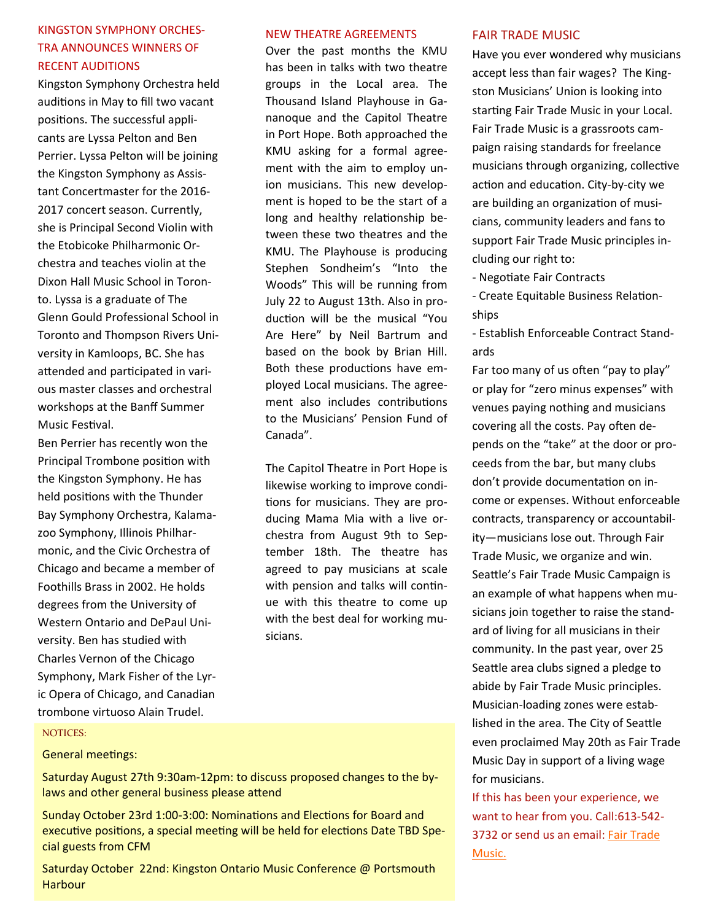# KINGSTON SYMPHONY ORCHES‐ TRA ANNOUNCES WINNERS OF RECENT AUDITIONS

Kingston Symphony Orchestra held auditions in May to fill two vacant positions. The successful applicants are Lyssa Pelton and Ben Perrier. Lyssa Pelton will be joining the Kingston Symphony as Assis‐ tant Concertmaster for the 2016‐ 2017 concert season. Currently, she is Principal Second Violin with the Etobicoke Philharmonic Or‐ chestra and teaches violin at the Dixon Hall Music School in Toron‐ to. Lyssa is a graduate of The Glenn Gould Professional School in Toronto and Thompson Rivers Uni‐ versity in Kamloops, BC. She has attended and participated in various master classes and orchestral workshops at the Banff Summer Music Festival.

Ben Perrier has recently won the Principal Trombone position with the Kingston Symphony. He has held positions with the Thunder Bay Symphony Orchestra, Kalama‐ zoo Symphony, Illinois Philhar‐ monic, and the Civic Orchestra of Chicago and became a member of Foothills Brass in 2002. He holds degrees from the University of Western Ontario and DePaul Uni‐ versity. Ben has studied with Charles Vernon of the Chicago Symphony, Mark Fisher of the Lyr‐ ic Opera of Chicago, and Canadian trombone virtuoso Alain Trudel.

# NEW THEATRE AGREEMENTS

Over the past months the KMU has been in talks with two theatre groups in the Local area. The Thousand Island Playhouse in Ga‐ nanoque and the Capitol Theatre in Port Hope. Both approached the KMU asking for a formal agreement with the aim to employ union musicians. This new develop‐ ment is hoped to be the start of a long and healthy relationship between these two theatres and the KMU. The Playhouse is producing Stephen Sondheim's "Into the Woods" This will be running from July 22 to August 13th. Also in pro‐ duction will be the musical "You Are Here" by Neil Bartrum and based on the book by Brian Hill. Both these productions have employed Local musicians. The agree‐ ment also includes contributions to the Musicians' Pension Fund of Canada".

The Capitol Theatre in Port Hope is likewise working to improve condi‐ tions for musicians. They are producing Mama Mia with a live or‐ chestra from August 9th to Sep‐ tember 18th. The theatre has agreed to pay musicians at scale with pension and talks will continue with this theatre to come up with the best deal for working musicians.

# FAIR TRADE MUSIC

Have you ever wondered why musicians accept less than fair wages? The King‐ ston Musicians' Union is looking into starting Fair Trade Music in your Local. Fair Trade Music is a grassroots cam‐ paign raising standards for freelance musicians through organizing, collective action and education. City-by-city we are building an organization of musicians, community leaders and fans to support Fair Trade Music principles in‐ cluding our right to:

- ‐ NegoƟate Fair Contracts
- ‐ Create Equitable Business RelaƟon‐ ships
- ‐ Establish Enforceable Contract Stand‐ ards

Far too many of us often "pay to play" or play for "zero minus expenses" with venues paying nothing and musicians covering all the costs. Pay often depends on the "take" at the door or pro‐ ceeds from the bar, but many clubs don't provide documentaƟon on in‐ come or expenses. Without enforceable contracts, transparency or accountabil‐ ity—musicians lose out. Through Fair Trade Music, we organize and win. Seattle's Fair Trade Music Campaign is an example of what happens when mu‐ sicians join together to raise the stand‐ ard of living for all musicians in their community. In the past year, over 25 Seattle area clubs signed a pledge to abide by Fair Trade Music principles. Musician‐loading zones were estab‐ lished in the area. The City of Seattle even proclaimed May 20th as Fair Trade Music Day in support of a living wage for musicians.

If this has been your experience, we want to hear from you. Call:613‐542‐ 3732 or send us an email: Fair Trade Music.

#### NOTICES:

# General meetings:

Saturday August 27th 9:30am‐12pm: to discuss proposed changes to the by‐ laws and other general business please attend

Sunday October 23rd 1:00-3:00: Nominations and Elections for Board and executive positions, a special meeting will be held for elections Date TBD Special guests from CFM

Saturday October 22nd: Kingston Ontario Music Conference @ Portsmouth **Harbour**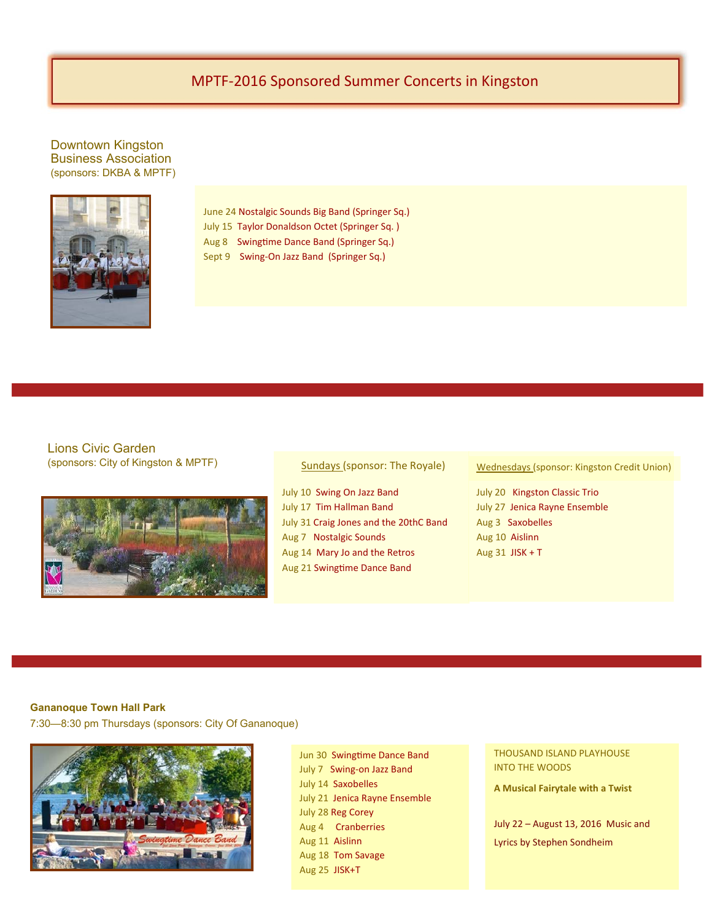# MPTF‐2016 Sponsored Summer Concerts in Kingston

Downtown Kingston Business Association (sponsors: DKBA & MPTF)



June 24 Nostalgic Sounds Big Band (Springer Sq.) July 15 Taylor Donaldson Octet (Springer Sq. ) Aug 8 Swingtime Dance Band (Springer Sq.) Sept 9 Swing-On Jazz Band (Springer Sq.)

Lions Civic Garden (sponsors: City of Kingston & MPTF)



Sundays (sponsor: The Royale)

July 10 Swing On Jazz Band July 17 Tim Hallman Band July 31 Craig Jones and the 20thC Band Aug 7 Nostalgic Sounds Aug 14 Mary Jo and the Retros Aug 21 Swingtime Dance Band

Wednesdays (sponsor: Kingston Credit Union)

July 20 Kingston Classic Trio July 27 Jenica Rayne Ensemble Aug 3 Saxobelles Aug 10 Aislinn Aug 31 JISK + T

# **Gananoque Town Hall Park**

7:30—8:30 pm Thursdays (sponsors: City Of Gananoque)



Jun 30 Swingtime Dance Band July 7 Swing‐on Jazz Band July 14 Saxobelles July 21 Jenica Rayne Ensemble July 28 Reg Corey Aug 4 Cranberries Aug 11 Aislinn Aug 18 Tom Savage Aug 25 JISK+T

THOUSAND ISLAND PLAYHOUSE INTO THE WOODS

**A Musical Fairytale with a Twist**

July 22 – August 13, 2016 Music and Lyrics by Stephen Sondheim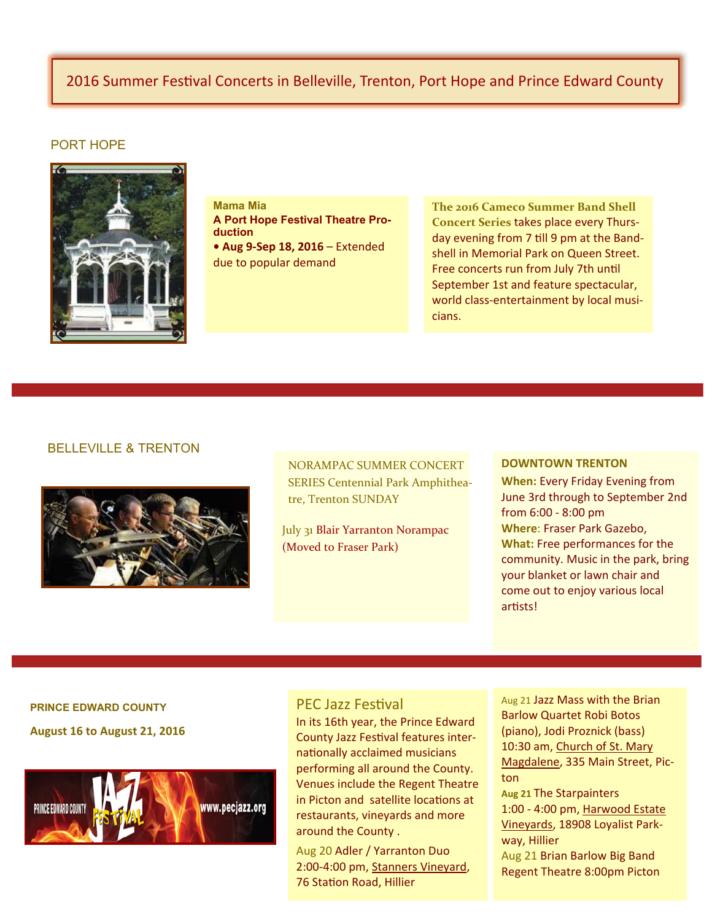# 2016 Summer Festival Concerts in Belleville, Trenton, Port Hope and Prince Edward County

# PORT HOPE



**Mama Mia A Port Hope Festival Theatre Production • Aug 9‐Sep 18, 2016** – Extended due to popular demand

**The 2016 Cameco Summer Band Shell Concert Series** takes place every Thurs‐ day evening from 7 till 9 pm at the Bandshell in Memorial Park on Queen Street. Free concerts run from July 7th until September 1st and feature spectacular, world class-entertainment by local musicians.

# BELLEVILLE & TRENTON



NORAMPAC SUMMER CONCERT SERIES Centennial Park Amphithea‐ tre, Trenton SUNDAY

July 31 Blair Yarranton Norampac (Moved to Fraser Park)

#### **DOWNTOWN TRENTON**

**When:** Every Friday Evening from June 3rd through to September 2nd from 6:00 ‐ 8:00 pm **Where**: Fraser Park Gazebo, **What:** Free performances for the community. Music in the park, bring your blanket or lawn chair and come out to enjoy various local artists!

# **PRINCE EDWARD COUNTY**

**August 16 to August 21, 2016**



# PEC Jazz Festival

In its 16th year, the Prince Edward County Jazz Festival features internationally acclaimed musicians performing all around the County. Venues include the Regent Theatre in Picton and satellite locations at restaurants, vineyards and more around the County .

Aug 20 Adler / Yarranton Duo 2:00‐4:00 pm, Stanners Vineyard, 76 Station Road, Hillier

Aug 21 Jazz Mass with the Brian Barlow Quartet Robi Botos (piano), Jodi Proznick (bass) 10:30 am, Church of St. Mary Magdalene, 335 Main Street, Pic‐ ton **Aug 21** The Starpainters

1:00 ‐ 4:00 pm, Harwood Estate Vineyards, 18908 Loyalist Park‐ way, Hillier Aug 21 Brian Barlow Big Band Regent Theatre 8:00pm Picton